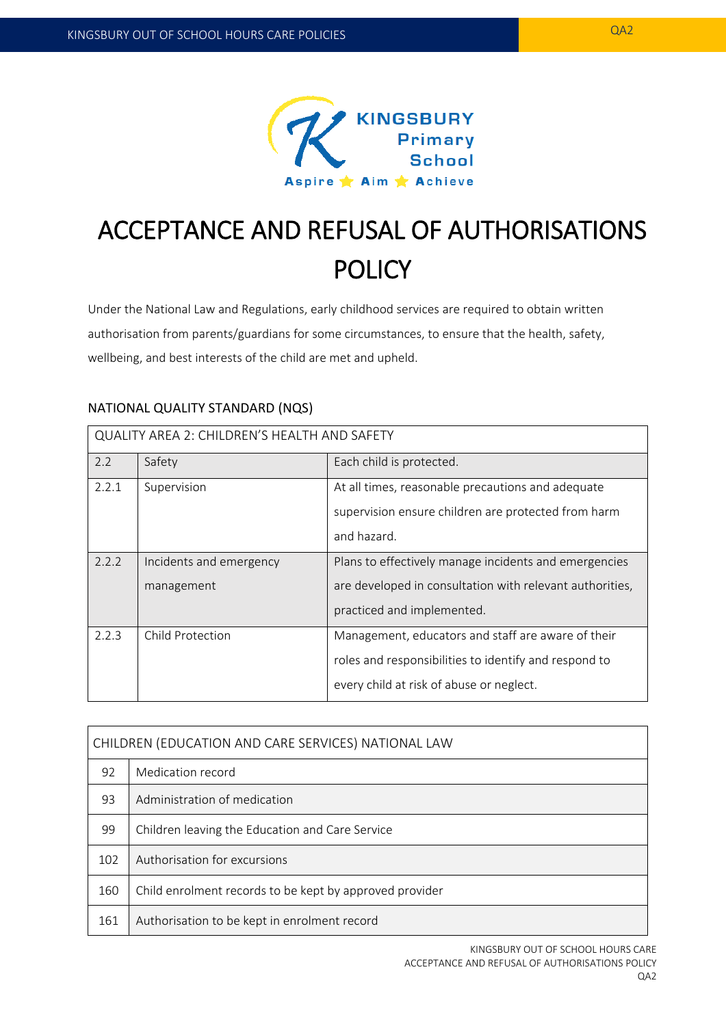

# ACCEPTANCE AND REFUSAL OF AUTHORISATIONS **POLICY**

Under the National Law and Regulations, early childhood services are required to obtain written authorisation from parents/guardians for some circumstances, to ensure that the health, safety, wellbeing, and best interests of the child are met and upheld.

# NATIONAL QUALITY STANDARD (NQS)

| QUALITY AREA 2: CHILDREN'S HEALTH AND SAFETY |                                       |                                                                                                                                                         |  |  |
|----------------------------------------------|---------------------------------------|---------------------------------------------------------------------------------------------------------------------------------------------------------|--|--|
| 2.2                                          | Safety                                | Each child is protected.                                                                                                                                |  |  |
| 2.2.1                                        | Supervision                           | At all times, reasonable precautions and adequate<br>supervision ensure children are protected from harm<br>and hazard.                                 |  |  |
| 2.2.2                                        | Incidents and emergency<br>management | Plans to effectively manage incidents and emergencies<br>are developed in consultation with relevant authorities,<br>practiced and implemented.         |  |  |
| 2.2.3                                        | Child Protection                      | Management, educators and staff are aware of their<br>roles and responsibilities to identify and respond to<br>every child at risk of abuse or neglect. |  |  |

| CHILDREN (EDUCATION AND CARE SERVICES) NATIONAL LAW |                                                         |  |  |
|-----------------------------------------------------|---------------------------------------------------------|--|--|
| 92                                                  | Medication record                                       |  |  |
| 93                                                  | Administration of medication                            |  |  |
| 99                                                  | Children leaving the Education and Care Service         |  |  |
| 102                                                 | Authorisation for excursions                            |  |  |
| 160                                                 | Child enrolment records to be kept by approved provider |  |  |
| 161                                                 | Authorisation to be kept in enrolment record            |  |  |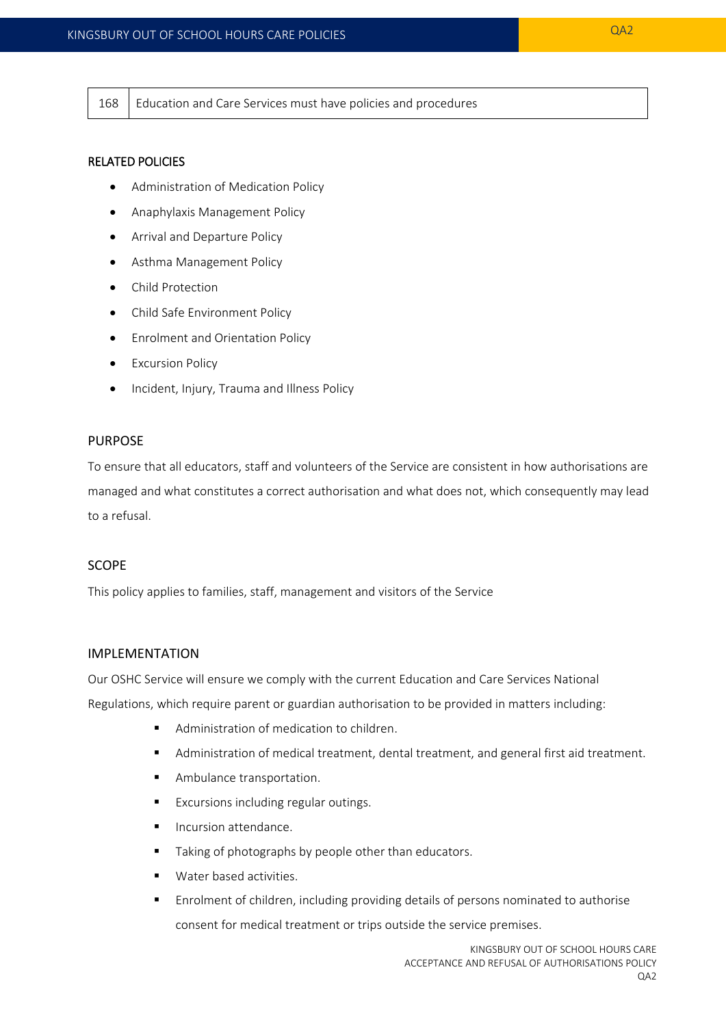168 | Education and Care Services must have policies and procedures

#### RELATED POLICIES

- Administration of Medication Policy
- Anaphylaxis Management Policy
- Arrival and Departure Policy
- Asthma Management Policy
- Child Protection
- Child Safe Environment Policy
- **•** Enrolment and Orientation Policy
- **•** Excursion Policy
- Incident, Injury, Trauma and Illness Policy

#### PURPOSE

To ensure that all educators, staff and volunteers of the Service are consistent in how authorisations are managed and what constitutes a correct authorisation and what does not, which consequently may lead to a refusal.

## **SCOPE**

This policy applies to families, staff, management and visitors of the Service

#### IMPLEMENTATION

Our OSHC Service will ensure we comply with the current Education and Care Services National Regulations, which require parent or guardian authorisation to be provided in matters including:

- Administration of medication to children.
- Administration of medical treatment, dental treatment, and general first aid treatment.
- **Ambulance transportation.**
- **Excursions including regular outings.**
- **Incursion attendance.**
- Taking of photographs by people other than educators.
- Water based activities.
- Enrolment of children, including providing details of persons nominated to authorise consent for medical treatment or trips outside the service premises.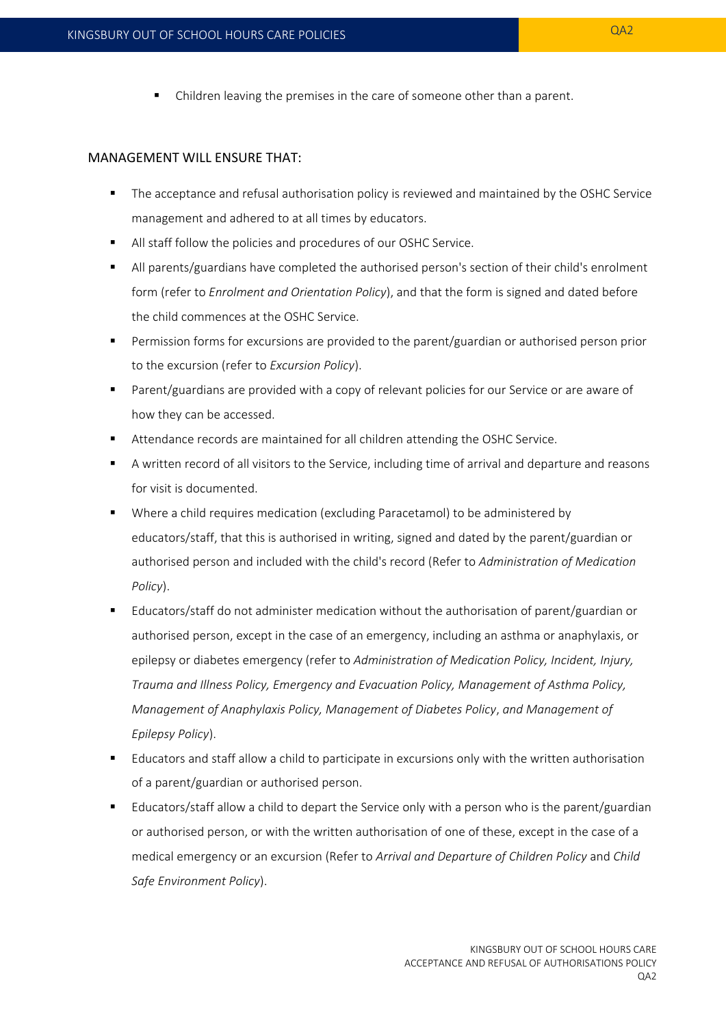Children leaving the premises in the care of someone other than a parent.

#### MANAGEMENT WILL ENSURE THAT:

- **The acceptance and refusal authorisation policy is reviewed and maintained by the OSHC Service** management and adhered to at all times by educators.
- All staff follow the policies and procedures of our OSHC Service.
- All parents/guardians have completed the authorised person's section of their child's enrolment form (refer to *Enrolment and Orientation Policy*), and that the form is signed and dated before the child commences at the OSHC Service.
- Permission forms for excursions are provided to the parent/guardian or authorised person prior to the excursion (refer to *Excursion Policy*).
- Parent/guardians are provided with a copy of relevant policies for our Service or are aware of how they can be accessed.
- Attendance records are maintained for all children attending the OSHC Service.
- A written record of all visitors to the Service, including time of arrival and departure and reasons for visit is documented.
- Where a child requires medication (excluding Paracetamol) to be administered by educators/staff, that this is authorised in writing, signed and dated by the parent/guardian or authorised person and included with the child's record (Refer to *Administration of Medication Policy*).
- Educators/staff do not administer medication without the authorisation of parent/guardian or authorised person, except in the case of an emergency, including an asthma or anaphylaxis, or epilepsy or diabetes emergency (refer to *Administration of Medication Policy, Incident, Injury, Trauma and Illness Policy, Emergency and Evacuation Policy, Management of Asthma Policy, Management of Anaphylaxis Policy, Management of Diabetes Policy*, *and Management of Epilepsy Policy*).
- Educators and staff allow a child to participate in excursions only with the written authorisation of a parent/guardian or authorised person.
- Educators/staff allow a child to depart the Service only with a person who is the parent/guardian or authorised person, or with the written authorisation of one of these, except in the case of a medical emergency or an excursion (Refer to *Arrival and Departure of Children Policy* and *Child Safe Environment Policy*).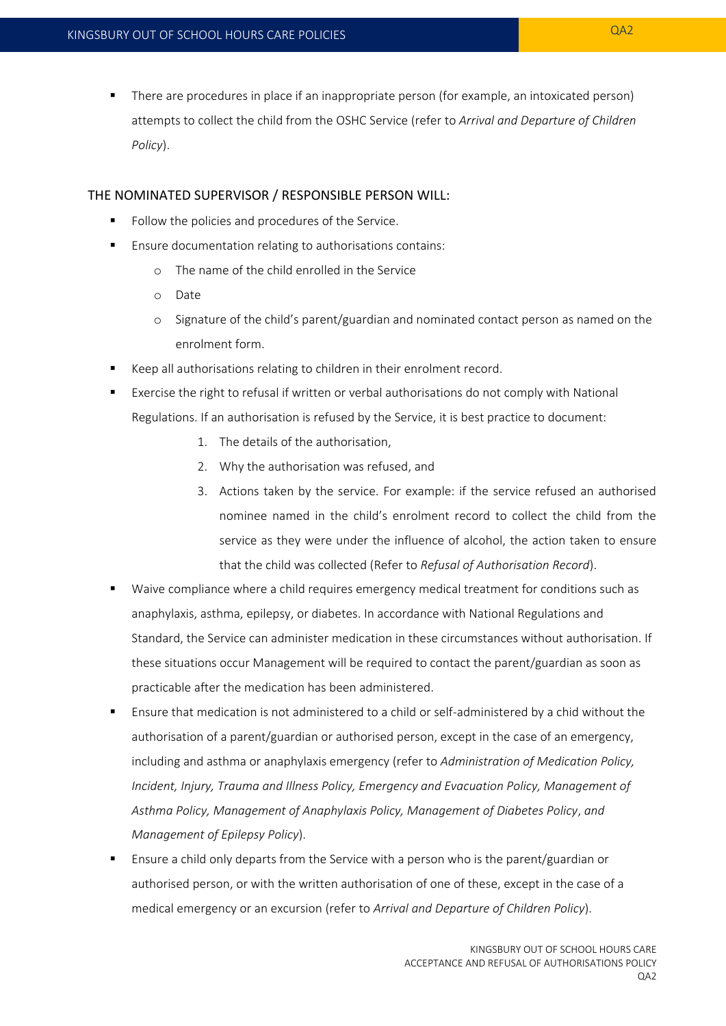There are procedures in place if an inappropriate person (for example, an intoxicated person) attempts to collect the child from the OSHC Service (refer to *Arrival and Departure of Children Policy*).

#### THE NOMINATED SUPERVISOR / RESPONSIBLE PERSON WILL:

- Follow the policies and procedures of the Service.
- Ensure documentation relating to authorisations contains:
	- o The name of the child enrolled in the Service
	- o Date
	- o Signature of the child's parent/guardian and nominated contact person as named on the enrolment form.
- Keep all authorisations relating to children in their enrolment record.
- Exercise the right to refusal if written or verbal authorisations do not comply with National Regulations. If an authorisation is refused by the Service, it is best practice to document:
	- 1. The details of the authorisation,
	- 2. Why the authorisation was refused, and
	- 3. Actions taken by the service. For example: if the service refused an authorised nominee named in the child's enrolment record to collect the child from the service as they were under the influence of alcohol, the action taken to ensure that the child was collected (Refer to *Refusal of Authorisation Record*).
- Waive compliance where a child requires emergency medical treatment for conditions such as anaphylaxis, asthma, epilepsy, or diabetes. In accordance with National Regulations and Standard, the Service can administer medication in these circumstances without authorisation. If these situations occur Management will be required to contact the parent/guardian as soon as practicable after the medication has been administered.
- Ensure that medication is not administered to a child or self-administered by a chid without the authorisation of a parent/guardian or authorised person, except in the case of an emergency, including and asthma or anaphylaxis emergency (refer to *Administration of Medication Policy, Incident, Injury, Trauma and Illness Policy, Emergency and Evacuation Policy, Management of Asthma Policy, Management of Anaphylaxis Policy, Management of Diabetes Policy*, *and Management of Epilepsy Policy*).
- Ensure a child only departs from the Service with a person who is the parent/guardian or authorised person, or with the written authorisation of one of these, except in the case of a medical emergency or an excursion (refer to *Arrival and Departure of Children Policy*).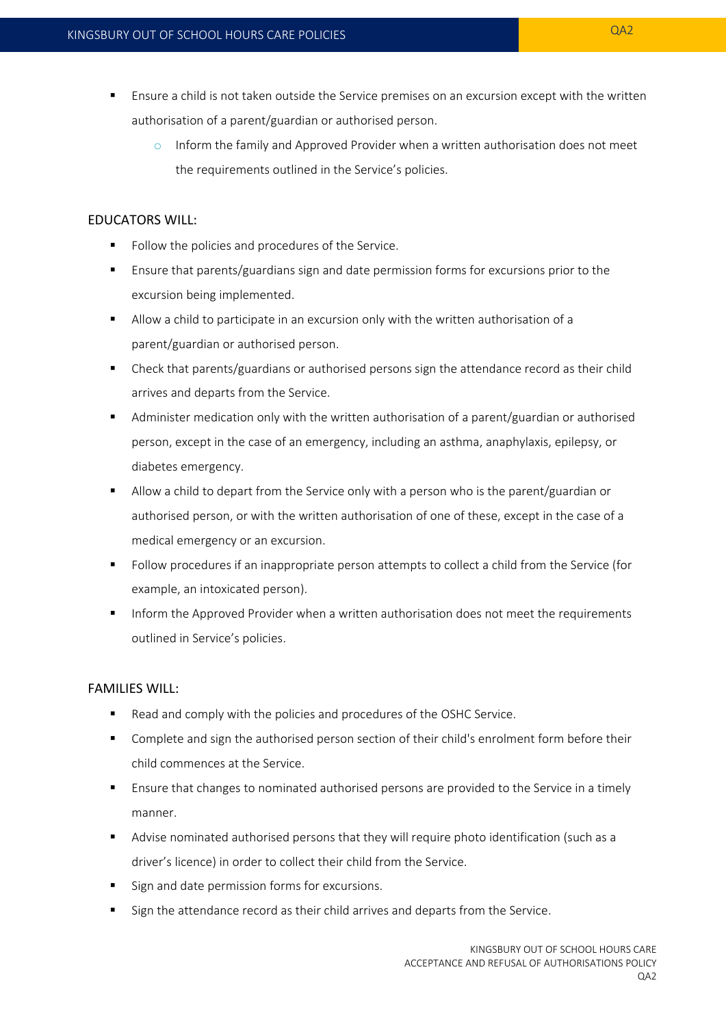- **Ensure a child is not taken outside the Service premises on an excursion except with the written** authorisation of a parent/guardian or authorised person.
	- $\circ$  Inform the family and Approved Provider when a written authorisation does not meet the requirements outlined in the Service's policies.

# EDUCATORS WILL:

- Follow the policies and procedures of the Service.
- Ensure that parents/guardians sign and date permission forms for excursions prior to the excursion being implemented.
- Allow a child to participate in an excursion only with the written authorisation of a parent/guardian or authorised person.
- Check that parents/guardians or authorised persons sign the attendance record as their child arrives and departs from the Service.
- Administer medication only with the written authorisation of a parent/guardian or authorised person, except in the case of an emergency, including an asthma, anaphylaxis, epilepsy, or diabetes emergency.
- Allow a child to depart from the Service only with a person who is the parent/guardian or authorised person, or with the written authorisation of one of these, except in the case of a medical emergency or an excursion.
- Follow procedures if an inappropriate person attempts to collect a child from the Service (for example, an intoxicated person).
- Inform the Approved Provider when a written authorisation does not meet the requirements outlined in Service's policies.

# FAMILIES WILL:

- Read and comply with the policies and procedures of the OSHC Service.
- Complete and sign the authorised person section of their child's enrolment form before their child commences at the Service.
- **E** Ensure that changes to nominated authorised persons are provided to the Service in a timely manner.
- Advise nominated authorised persons that they will require photo identification (such as a driver's licence) in order to collect their child from the Service.
- Sign and date permission forms for excursions.
- Sign the attendance record as their child arrives and departs from the Service.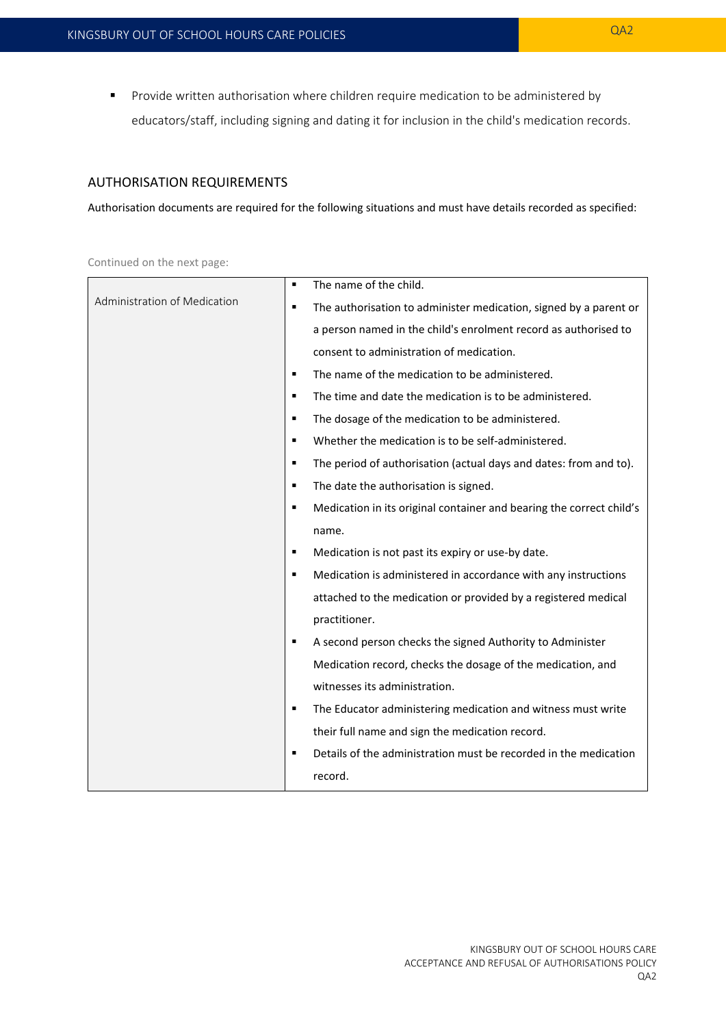**Provide written authorisation where children require medication to be administered by** educators/staff, including signing and dating it for inclusion in the child's medication records.

# AUTHORISATION REQUIREMENTS

Authorisation documents are required for the following situations and must have details recorded as specified:

Continued on the next page:

|                              | The name of the child.<br>٠                                                         |
|------------------------------|-------------------------------------------------------------------------------------|
| Administration of Medication | The authorisation to administer medication, signed by a parent or<br>$\blacksquare$ |
|                              | a person named in the child's enrolment record as authorised to                     |
|                              | consent to administration of medication.                                            |
|                              | The name of the medication to be administered.<br>$\blacksquare$                    |
|                              | The time and date the medication is to be administered.<br>٠                        |
|                              | The dosage of the medication to be administered.<br>٠                               |
|                              | Whether the medication is to be self-administered.<br>٠                             |
|                              | The period of authorisation (actual days and dates: from and to).<br>٠              |
|                              | The date the authorisation is signed.<br>$\blacksquare$                             |
|                              | Medication in its original container and bearing the correct child's<br>٠           |
|                              | name.                                                                               |
|                              | Medication is not past its expiry or use-by date.<br>٠                              |
|                              | Medication is administered in accordance with any instructions<br>٠                 |
|                              | attached to the medication or provided by a registered medical                      |
|                              | practitioner.                                                                       |
|                              | A second person checks the signed Authority to Administer<br>٠                      |
|                              | Medication record, checks the dosage of the medication, and                         |
|                              | witnesses its administration.                                                       |
|                              | The Educator administering medication and witness must write<br>٠                   |
|                              | their full name and sign the medication record.                                     |
|                              | Details of the administration must be recorded in the medication<br>п               |
|                              | record.                                                                             |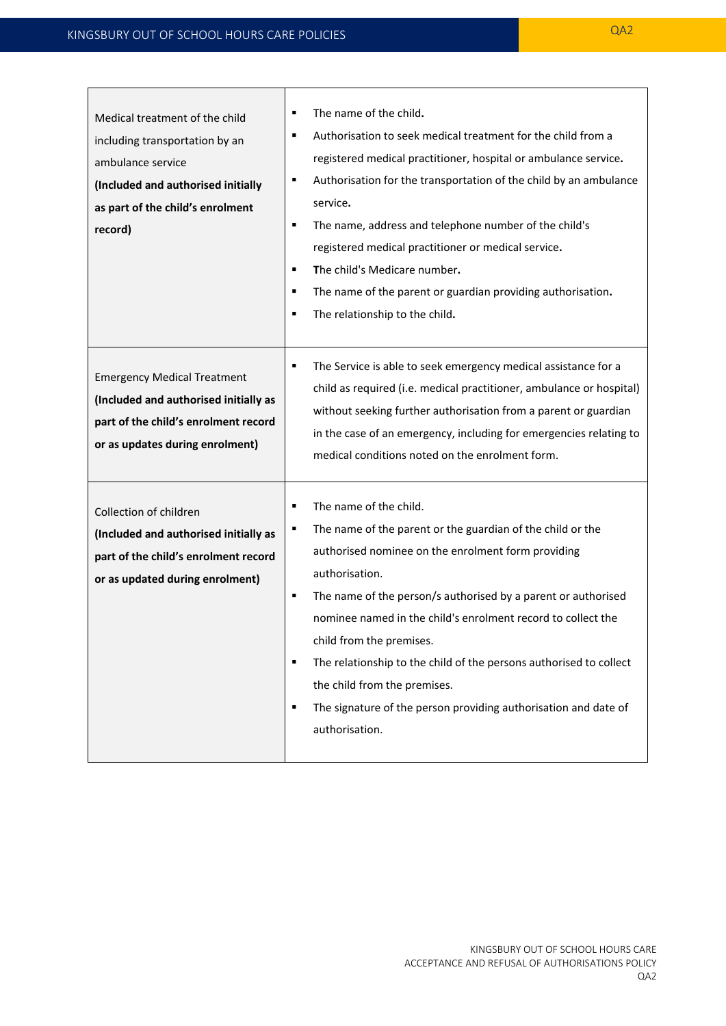| Medical treatment of the child<br>including transportation by an<br>ambulance service<br>(Included and authorised initially<br>as part of the child's enrolment<br>record) | The name of the child.<br>٠<br>Authorisation to seek medical treatment for the child from a<br>٠<br>registered medical practitioner, hospital or ambulance service.<br>Authorisation for the transportation of the child by an ambulance<br>٠<br>service.<br>The name, address and telephone number of the child's<br>٠<br>registered medical practitioner or medical service.<br>The child's Medicare number.<br>٠<br>The name of the parent or guardian providing authorisation.<br>٠<br>The relationship to the child.                     |
|----------------------------------------------------------------------------------------------------------------------------------------------------------------------------|-----------------------------------------------------------------------------------------------------------------------------------------------------------------------------------------------------------------------------------------------------------------------------------------------------------------------------------------------------------------------------------------------------------------------------------------------------------------------------------------------------------------------------------------------|
| <b>Emergency Medical Treatment</b><br>(Included and authorised initially as<br>part of the child's enrolment record<br>or as updates during enrolment)                     | The Service is able to seek emergency medical assistance for a<br>child as required (i.e. medical practitioner, ambulance or hospital)<br>without seeking further authorisation from a parent or guardian<br>in the case of an emergency, including for emergencies relating to<br>medical conditions noted on the enrolment form.                                                                                                                                                                                                            |
| Collection of children<br>(Included and authorised initially as<br>part of the child's enrolment record<br>or as updated during enrolment)                                 | The name of the child.<br>٠<br>The name of the parent or the guardian of the child or the<br>٠<br>authorised nominee on the enrolment form providing<br>authorisation.<br>The name of the person/s authorised by a parent or authorised<br>٠<br>nominee named in the child's enrolment record to collect the<br>child from the premises.<br>The relationship to the child of the persons authorised to collect<br>٠<br>the child from the premises.<br>The signature of the person providing authorisation and date of<br>٠<br>authorisation. |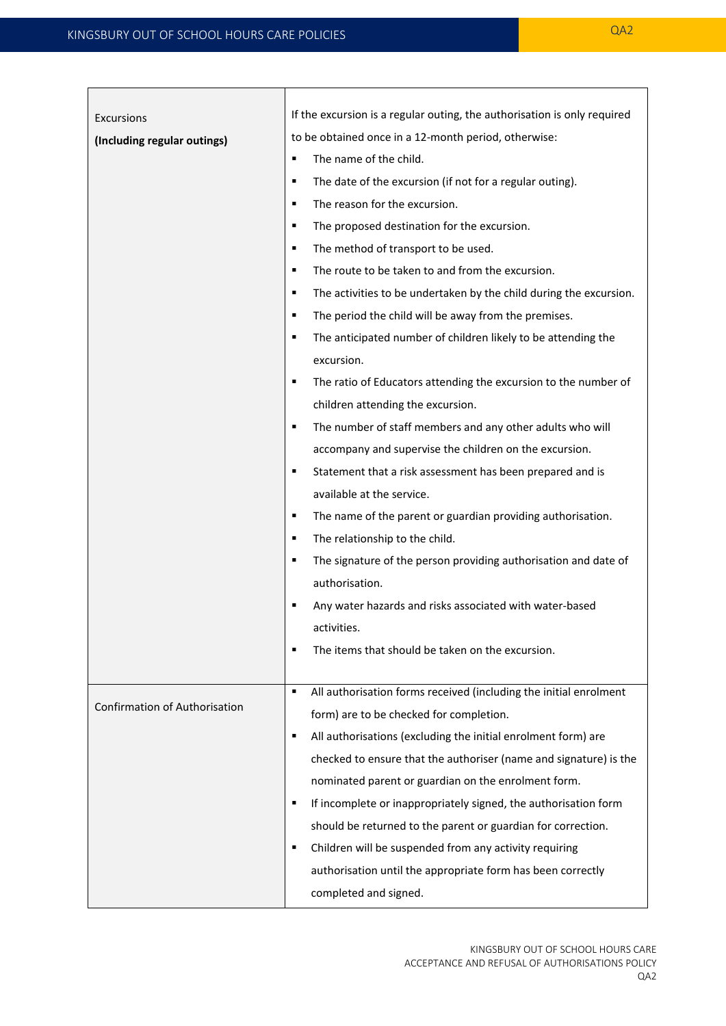| Excursions                           | If the excursion is a regular outing, the authorisation is only required |
|--------------------------------------|--------------------------------------------------------------------------|
| (Including regular outings)          | to be obtained once in a 12-month period, otherwise:                     |
|                                      | The name of the child.<br>п                                              |
|                                      | The date of the excursion (if not for a regular outing).<br>٠            |
|                                      | The reason for the excursion.<br>п                                       |
|                                      | The proposed destination for the excursion.<br>٠                         |
|                                      | The method of transport to be used.<br>٠                                 |
|                                      | The route to be taken to and from the excursion.<br>٠                    |
|                                      | The activities to be undertaken by the child during the excursion.<br>٠  |
|                                      | The period the child will be away from the premises.<br>п                |
|                                      | The anticipated number of children likely to be attending the<br>٠       |
|                                      | excursion.                                                               |
|                                      | The ratio of Educators attending the excursion to the number of<br>П     |
|                                      | children attending the excursion.                                        |
|                                      | The number of staff members and any other adults who will<br>٠           |
|                                      | accompany and supervise the children on the excursion.                   |
|                                      | Statement that a risk assessment has been prepared and is<br>٠           |
|                                      | available at the service.                                                |
|                                      | The name of the parent or guardian providing authorisation.<br>п         |
|                                      | The relationship to the child.<br>٠                                      |
|                                      | The signature of the person providing authorisation and date of<br>٠     |
|                                      | authorisation.                                                           |
|                                      | Any water hazards and risks associated with water-based<br>п             |
|                                      | activities.                                                              |
|                                      | The items that should be taken on the excursion.                         |
|                                      |                                                                          |
| <b>Confirmation of Authorisation</b> | All authorisation forms received (including the initial enrolment<br>П   |
|                                      | form) are to be checked for completion.                                  |
|                                      | All authorisations (excluding the initial enrolment form) are<br>п       |
|                                      | checked to ensure that the authoriser (name and signature) is the        |
|                                      | nominated parent or guardian on the enrolment form.                      |
|                                      | If incomplete or inappropriately signed, the authorisation form<br>٠     |
|                                      | should be returned to the parent or guardian for correction.             |
|                                      | Children will be suspended from any activity requiring<br>٠              |
|                                      | authorisation until the appropriate form has been correctly              |
|                                      | completed and signed.                                                    |